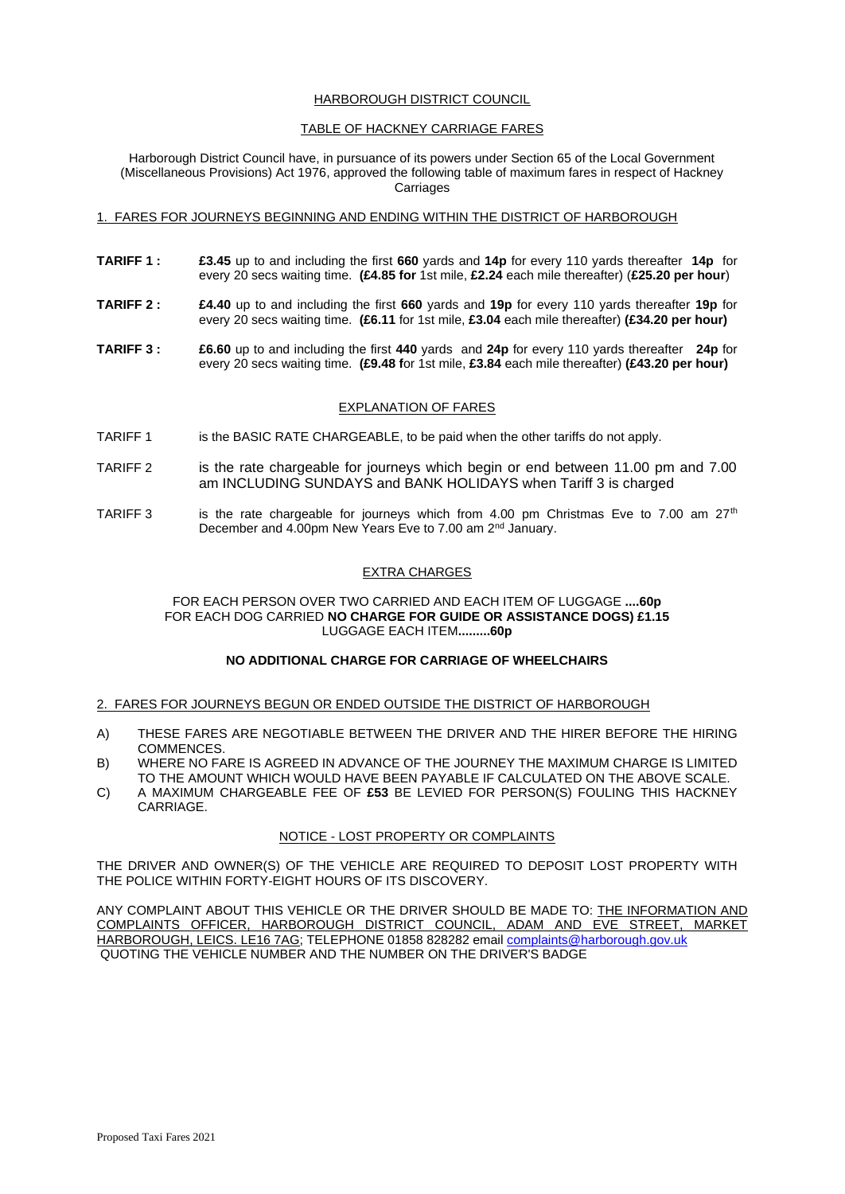## HARBOROUGH DISTRICT COUNCIL

## TABLE OF HACKNEY CARRIAGE FARES

Harborough District Council have, in pursuance of its powers under Section 65 of the Local Government (Miscellaneous Provisions) Act 1976, approved the following table of maximum fares in respect of Hackney **Carriages** 

### 1. FARES FOR JOURNEYS BEGINNING AND ENDING WITHIN THE DISTRICT OF HARBOROUGH

- **TARIFF 1 : £3.45** up to and including the first **660** yards and **14p** for every 110 yards thereafter **14p** for every 20 secs waiting time. **(£4.85 for** 1st mile, **£2.24** each mile thereafter) (**£25.20 per hour**)
- **TARIFF 2 : £4.40** up to and including the first **660** yards and **19p** for every 110 yards thereafter **19p** for every 20 secs waiting time. **(£6.11** for 1st mile, **£3.04** each mile thereafter) **(£34.20 per hour)**
- **TARIFF 3 : £6.60** up to and including the first **440** yards and **24p** for every 110 yards thereafter **24p** for every 20 secs waiting time. **(£9.48 f**or 1st mile, **£3.84** each mile thereafter) **(£43.20 per hour)**

## EXPLANATION OF FARES

- TARIFF 1 is the BASIC RATE CHARGEABLE, to be paid when the other tariffs do not apply.
- TARIFF 2 is the rate chargeable for journeys which begin or end between 11.00 pm and 7.00 am INCLUDING SUNDAYS and BANK HOLIDAYS when Tariff 3 is charged
- TARIFF 3 is the rate chargeable for journeys which from 4.00 pm Christmas Eve to 7.00 am  $27<sup>th</sup>$ December and 4.00pm New Years Eve to 7.00 am 2nd January.

## EXTRA CHARGES

### FOR EACH PERSON OVER TWO CARRIED AND EACH ITEM OF LUGGAGE **....60p** FOR EACH DOG CARRIED **NO CHARGE FOR GUIDE OR ASSISTANCE DOGS) £1.15** LUGGAGE EACH ITEM**.........60p**

### **NO ADDITIONAL CHARGE FOR CARRIAGE OF WHEELCHAIRS**

### 2. FARES FOR JOURNEYS BEGUN OR ENDED OUTSIDE THE DISTRICT OF HARBOROUGH

- A) THESE FARES ARE NEGOTIABLE BETWEEN THE DRIVER AND THE HIRER BEFORE THE HIRING COMMENCES.
- B) WHERE NO FARE IS AGREED IN ADVANCE OF THE JOURNEY THE MAXIMUM CHARGE IS LIMITED TO THE AMOUNT WHICH WOULD HAVE BEEN PAYABLE IF CALCULATED ON THE ABOVE SCALE.
- C) A MAXIMUM CHARGEABLE FEE OF **£53** BE LEVIED FOR PERSON(S) FOULING THIS HACKNEY CARRIAGE.

# NOTICE - LOST PROPERTY OR COMPLAINTS

THE DRIVER AND OWNER(S) OF THE VEHICLE ARE REQUIRED TO DEPOSIT LOST PROPERTY WITH THE POLICE WITHIN FORTY-EIGHT HOURS OF ITS DISCOVERY.

ANY COMPLAINT ABOUT THIS VEHICLE OR THE DRIVER SHOULD BE MADE TO: THE INFORMATION AND COMPLAINTS OFFICER, HARBOROUGH DISTRICT COUNCIL, ADAM AND EVE STREET, MARKET HARBOROUGH, LEICS. LE16 7AG; TELEPHONE 01858 828282 email [complaints@harborough.gov.uk](mailto:complaints@harborough.gov.uk) QUOTING THE VEHICLE NUMBER AND THE NUMBER ON THE DRIVER'S BADGE